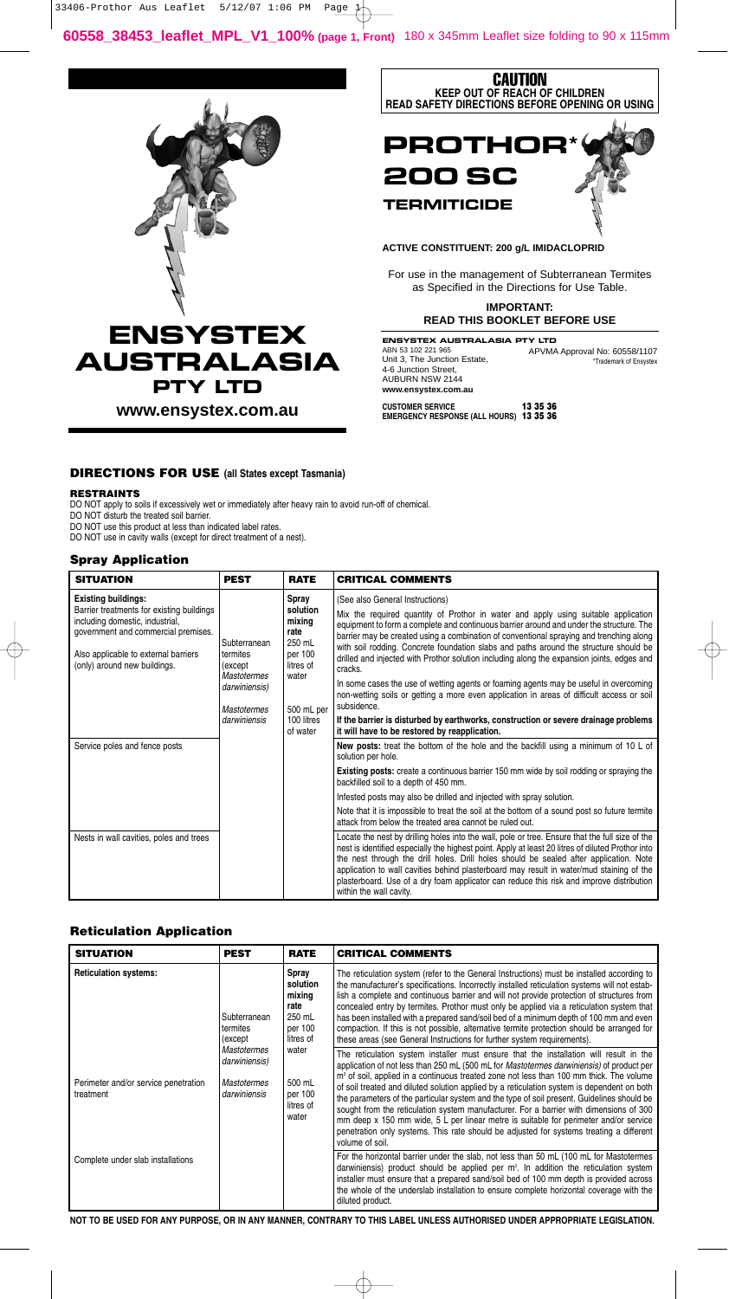



## **ACTIVE CONSTITUENT: 200 g/L IMIDACLOPRID**

For use in the management of Subterranean Termites as Specified in the Directions for Use Table.

> **IMPORTANT: READ THIS BOOKLET BEFORE USE**

ENSYSTEX AUSTRALASIA PTY LTD ABN 53 102 221 965 Unit 3, The Junction Estate, 4-6 Junction Street, AUBURN NSW 2144 **www.ensystex.com.au** APVMA Approval No: 60558/1107 \*Trademark of Ensystex

## **DIRECTIONS FOR USE (all States except Tasmania)**

#### **RESTRAINTS**

DO NOT apply to soils if excessively wet or immediately after heavy rain to avoid run-off of chemical.

DO NOT disturb the treated soil barrier.

DO NOT use this product at less than indicated label rates. DO NOT use in cavity walls (except for direct treatment of a nest).

## **Spray Application**

| <b>SITUATION</b>                                                                                                                                                                                                          | <b>PEST</b>                                                                                               | <b>RATE</b>                                                                                                            | <b>CRITICAL COMMENTS</b>                                                                                                                                                                                                                                                                                                                                                                                                                                                                                          |
|---------------------------------------------------------------------------------------------------------------------------------------------------------------------------------------------------------------------------|-----------------------------------------------------------------------------------------------------------|------------------------------------------------------------------------------------------------------------------------|-------------------------------------------------------------------------------------------------------------------------------------------------------------------------------------------------------------------------------------------------------------------------------------------------------------------------------------------------------------------------------------------------------------------------------------------------------------------------------------------------------------------|
| <b>Existing buildings:</b><br>Barrier treatments for existing buildings<br>including domestic, industrial,<br>government and commercial premises.<br>Also applicable to external barriers<br>(only) around new buildings. | Subterranean<br>termites<br>(except<br><b>Mastotermes</b><br>darwiniensis)<br>Mastotermes<br>darwiniensis | Spray<br>solution<br>mixing<br>rate<br>250 mL<br>per 100<br>litres of<br>water<br>500 mL per<br>100 litres<br>of water | (See also General Instructions)                                                                                                                                                                                                                                                                                                                                                                                                                                                                                   |
|                                                                                                                                                                                                                           |                                                                                                           |                                                                                                                        | Mix the required quantity of Prothor in water and apply using suitable application<br>equipment to form a complete and continuous barrier around and under the structure. The<br>barrier may be created using a combination of conventional spraying and trenching along<br>with soil rodding. Concrete foundation slabs and paths around the structure should be<br>drilled and injected with Prothor solution including along the expansion joints, edges and<br>cracks.                                        |
|                                                                                                                                                                                                                           |                                                                                                           |                                                                                                                        | In some cases the use of wetting agents or foaming agents may be useful in overcoming<br>non-wetting soils or getting a more even application in areas of difficult access or soil<br>subsidence.                                                                                                                                                                                                                                                                                                                 |
|                                                                                                                                                                                                                           |                                                                                                           |                                                                                                                        | If the barrier is disturbed by earthworks, construction or severe drainage problems<br>it will have to be restored by reapplication.                                                                                                                                                                                                                                                                                                                                                                              |
| Service poles and fence posts                                                                                                                                                                                             |                                                                                                           |                                                                                                                        | New posts: treat the bottom of the hole and the backfill using a minimum of 10 L of<br>solution per hole.                                                                                                                                                                                                                                                                                                                                                                                                         |
|                                                                                                                                                                                                                           |                                                                                                           |                                                                                                                        | <b>Existing posts:</b> create a continuous barrier 150 mm wide by soil rodding or spraying the<br>backfilled soil to a depth of 450 mm.                                                                                                                                                                                                                                                                                                                                                                           |
|                                                                                                                                                                                                                           |                                                                                                           |                                                                                                                        | Infested posts may also be drilled and injected with spray solution.                                                                                                                                                                                                                                                                                                                                                                                                                                              |
|                                                                                                                                                                                                                           |                                                                                                           |                                                                                                                        | Note that it is impossible to treat the soil at the bottom of a sound post so future termite<br>attack from below the treated area cannot be ruled out.                                                                                                                                                                                                                                                                                                                                                           |
| Nests in wall cavities, poles and trees                                                                                                                                                                                   |                                                                                                           |                                                                                                                        | Locate the nest by drilling holes into the wall, pole or tree. Ensure that the full size of the<br>nest is identified especially the highest point. Apply at least 20 litres of diluted Prothor into<br>the nest through the drill holes. Drill holes should be sealed after application. Note<br>application to wall cavities behind plasterboard may result in water/mud staining of the<br>plasterboard. Use of a dry foam applicator can reduce this risk and improve distribution<br>within the wall cavity. |

# **Reticulation Application**

| <b>SITUATION</b>                                  | <b>PEST</b>                                                                                                       | <b>RATE</b>                                                                                                               | <b>CRITICAL COMMENTS</b>                                                                                                                                                                                                                                                                                                                                                                                                                                                                                                                                                                                                                                                                                                                                                              |
|---------------------------------------------------|-------------------------------------------------------------------------------------------------------------------|---------------------------------------------------------------------------------------------------------------------------|---------------------------------------------------------------------------------------------------------------------------------------------------------------------------------------------------------------------------------------------------------------------------------------------------------------------------------------------------------------------------------------------------------------------------------------------------------------------------------------------------------------------------------------------------------------------------------------------------------------------------------------------------------------------------------------------------------------------------------------------------------------------------------------|
| <b>Reticulation systems:</b>                      | Subterranean<br>termites<br>(except)<br><b>Mastotermes</b><br>darwiniensis)<br><b>Mastotermes</b><br>darwiniensis | Spray<br>solution<br>mixing<br>rate<br>250 mL<br>per 100<br>litres of<br>water<br>500 mL<br>per 100<br>litres of<br>water | The reticulation system (refer to the General Instructions) must be installed according to<br>the manufacturer's specifications. Incorrectly installed reticulation systems will not estab-<br>lish a complete and continuous barrier and will not provide protection of structures from<br>concealed entry by termites. Prothor must only be applied via a reticulation system that<br>has been installed with a prepared sand/soil bed of a minimum depth of 100 mm and even<br>compaction. If this is not possible, alternative termite protection should be arranged for<br>these areas (see General Instructions for further system requirements).                                                                                                                               |
| Perimeter and/or service penetration<br>treatment |                                                                                                                   |                                                                                                                           | The reticulation system installer must ensure that the installation will result in the<br>application of not less than 250 mL (500 mL for Mastotermes darwiniensis) of product per<br>m <sup>3</sup> of soil, applied in a continuous treated zone not less than 100 mm thick. The volume<br>of soil treated and diluted solution applied by a reticulation system is dependent on both<br>the parameters of the particular system and the type of soil present. Guidelines should be<br>sought from the reticulation system manufacturer. For a barrier with dimensions of 300<br>mm deep x 150 mm wide, 5 L per linear metre is suitable for perimeter and/or service<br>penetration only systems. This rate should be adjusted for systems treating a different<br>volume of soil. |
| Complete under slab installations                 |                                                                                                                   |                                                                                                                           | For the horizontal barrier under the slab, not less than 50 mL (100 mL for Mastotermes<br>darwiniensis) product should be applied per $m2$ . In addition the reticulation system<br>installer must ensure that a prepared sand/soil bed of 100 mm depth is provided across<br>the whole of the underslab installation to ensure complete horizontal coverage with the<br>diluted product.                                                                                                                                                                                                                                                                                                                                                                                             |

**NOT TO BE USED FOR ANY PURPOSE, OR IN ANY MANNER, CONTRARY TO THIS LABEL UNLESS AUTHORISED UNDER APPROPRIATE LEGISLATION.**